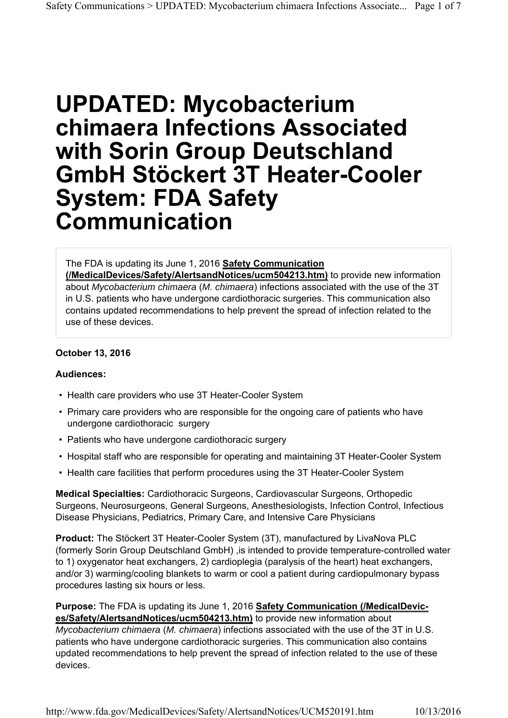# **UPDATED: Mycobacterium chimaera Infections Associated with Sorin Group Deutschland GmbH Stӧckert 3T Heater-Cooler System: FDA Safety Communication**

#### The FDA is updating its June 1, 2016 **Safety Communication**

**(/MedicalDevices/Safety/AlertsandNotices/ucm504213.htm)** to provide new information about *Mycobacterium chimaera* (*M. chimaera*) infections associated with the use of the 3T in U.S. patients who have undergone cardiothoracic surgeries. This communication also contains updated recommendations to help prevent the spread of infection related to the use of these devices.

#### **October 13, 2016**

#### **Audiences:**

- Health care providers who use 3T Heater-Cooler System
- Primary care providers who are responsible for the ongoing care of patients who have undergone cardiothoracic surgery
- Patients who have undergone cardiothoracic surgery
- Hospital staff who are responsible for operating and maintaining 3T Heater-Cooler System
- Health care facilities that perform procedures using the 3T Heater-Cooler System

**Medical Specialties:** Cardiothoracic Surgeons, Cardiovascular Surgeons, Orthopedic Surgeons, Neurosurgeons, General Surgeons, Anesthesiologists, Infection Control, Infectious Disease Physicians, Pediatrics, Primary Care, and Intensive Care Physicians

**Product:** The Stӧckert 3T Heater-Cooler System (3T), manufactured by LivaNova PLC (formerly Sorin Group Deutschland GmbH) ,is intended to provide temperature-controlled water to 1) oxygenator heat exchangers, 2) cardioplegia (paralysis of the heart) heat exchangers, and/or 3) warming/cooling blankets to warm or cool a patient during cardiopulmonary bypass procedures lasting six hours or less.

#### **Purpose:** The FDA is updating its June 1, 2016 **Safety Communication (/MedicalDevices/Safety/AlertsandNotices/ucm504213.htm)** to provide new information about

*Mycobacterium chimaera* (*M. chimaera*) infections associated with the use of the 3T in U.S. patients who have undergone cardiothoracic surgeries. This communication also contains updated recommendations to help prevent the spread of infection related to the use of these devices.

http://www.fda.gov/MedicalDevices/Safety/AlertsandNotices/UCM520191.htm 10/13/2016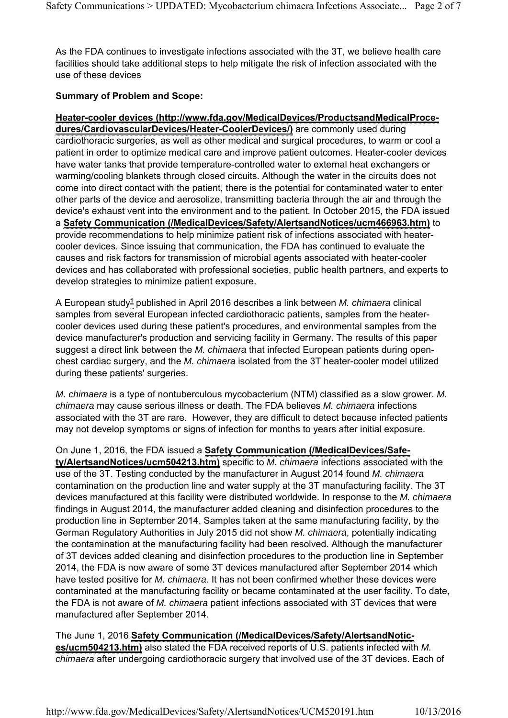As the FDA continues to investigate infections associated with the 3T, we believe health care facilities should take additional steps to help mitigate the risk of infection associated with the use of these devices

# **Summary of Problem and Scope:**

**Heater-cooler devices (http://www.fda.gov/MedicalDevices/ProductsandMedicalProcedures/CardiovascularDevices/Heater-CoolerDevices/)** are commonly used during cardiothoracic surgeries, as well as other medical and surgical procedures, to warm or cool a patient in order to optimize medical care and improve patient outcomes. Heater-cooler devices have water tanks that provide temperature-controlled water to external heat exchangers or warming/cooling blankets through closed circuits. Although the water in the circuits does not come into direct contact with the patient, there is the potential for contaminated water to enter other parts of the device and aerosolize, transmitting bacteria through the air and through the device's exhaust vent into the environment and to the patient. In October 2015, the FDA issued a **Safety Communication (/MedicalDevices/Safety/AlertsandNotices/ucm466963.htm)** to provide recommendations to help minimize patient risk of infections associated with heatercooler devices. Since issuing that communication, the FDA has continued to evaluate the causes and risk factors for transmission of microbial agents associated with heater-cooler devices and has collaborated with professional societies, public health partners, and experts to develop strategies to minimize patient exposure.

A European study<sup>1</sup> published in April 2016 describes a link between *M. chimaera* clinical samples from several European infected cardiothoracic patients, samples from the heatercooler devices used during these patient's procedures, and environmental samples from the device manufacturer's production and servicing facility in Germany. The results of this paper suggest a direct link between the *M. chimaera* that infected European patients during openchest cardiac surgery, and the *M. chimaera* isolated from the 3T heater-cooler model utilized during these patients' surgeries.

*M. chimaera* is a type of nontuberculous mycobacterium (NTM) classified as a slow grower. *M. chimaera* may cause serious illness or death. The FDA believes *M. chimaera* infections associated with the 3T are rare. However, they are difficult to detect because infected patients may not develop symptoms or signs of infection for months to years after initial exposure.

On June 1, 2016, the FDA issued a **Safety Communication (/MedicalDevices/Safety/AlertsandNotices/ucm504213.htm)** specific to *M. chimaera* infections associated with the use of the 3T. Testing conducted by the manufacturer in August 2014 found *M. chimaera*  contamination on the production line and water supply at the 3T manufacturing facility. The 3T devices manufactured at this facility were distributed worldwide. In response to the *M. chimaera* findings in August 2014, the manufacturer added cleaning and disinfection procedures to the production line in September 2014. Samples taken at the same manufacturing facility, by the German Regulatory Authorities in July 2015 did not show *M. chimaera*, potentially indicating the contamination at the manufacturing facility had been resolved. Although the manufacturer of 3T devices added cleaning and disinfection procedures to the production line in September 2014, the FDA is now aware of some 3T devices manufactured after September 2014 which have tested positive for *M. chimaera*. It has not been confirmed whether these devices were contaminated at the manufacturing facility or became contaminated at the user facility. To date, the FDA is not aware of *M. chimaera* patient infections associated with 3T devices that were manufactured after September 2014.

The June 1, 2016 **Safety Communication (/MedicalDevices/Safety/AlertsandNotices/ucm504213.htm)** also stated the FDA received reports of U.S. patients infected with *M. chimaera* after undergoing cardiothoracic surgery that involved use of the 3T devices. Each of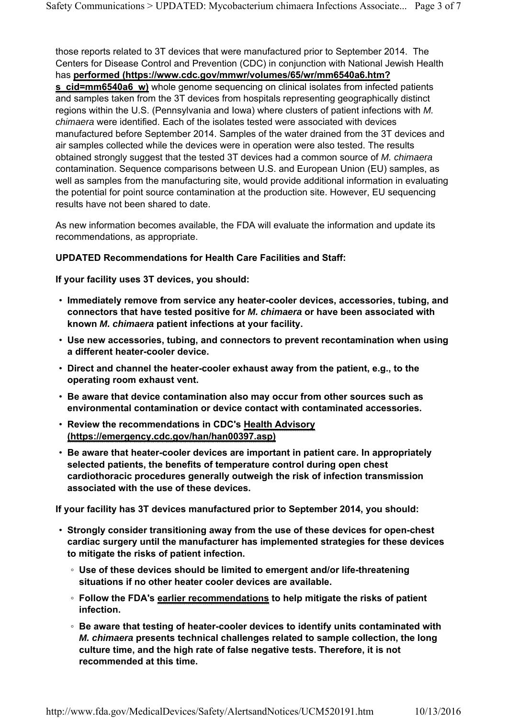those reports related to 3T devices that were manufactured prior to September 2014. The Centers for Disease Control and Prevention (CDC) in conjunction with National Jewish Health has **performed (https://www.cdc.gov/mmwr/volumes/65/wr/mm6540a6.htm? s\_cid=mm6540a6\_w)** whole genome sequencing on clinical isolates from infected patients and samples taken from the 3T devices from hospitals representing geographically distinct regions within the U.S. (Pennsylvania and Iowa) where clusters of patient infections with *M. chimaera* were identified. Each of the isolates tested were associated with devices manufactured before September 2014. Samples of the water drained from the 3T devices and air samples collected while the devices were in operation were also tested. The results obtained strongly suggest that the tested 3T devices had a common source of *M. chimaera* contamination. Sequence comparisons between U.S. and European Union (EU) samples, as well as samples from the manufacturing site, would provide additional information in evaluating the potential for point source contamination at the production site. However, EU sequencing results have not been shared to date.

As new information becomes available, the FDA will evaluate the information and update its recommendations, as appropriate.

## **UPDATED Recommendations for Health Care Facilities and Staff:**

**If your facility uses 3T devices, you should:**

- **Immediately remove from service any heater-cooler devices, accessories, tubing, and connectors that have tested positive for** *M. chimaera* **or have been associated with known** *M. chimaera* **patient infections at your facility.**
- **Use new accessories, tubing, and connectors to prevent recontamination when using a different heater-cooler device.**
- **Direct and channel the heater-cooler exhaust away from the patient, e.g., to the operating room exhaust vent.**
- **Be aware that device contamination also may occur from other sources such as environmental contamination or device contact with contaminated accessories.**
- **Review the recommendations in CDC's Health Advisory (https://emergency.cdc.gov/han/han00397.asp)**
- **Be aware that heater-cooler devices are important in patient care. In appropriately selected patients, the benefits of temperature control during open chest cardiothoracic procedures generally outweigh the risk of infection transmission associated with the use of these devices.**

**If your facility has 3T devices manufactured prior to September 2014, you should:**

- **Strongly consider transitioning away from the use of these devices for open-chest cardiac surgery until the manufacturer has implemented strategies for these devices to mitigate the risks of patient infection.** 
	- **Use of these devices should be limited to emergent and/or life-threatening situations if no other heater cooler devices are available.**
	- **Follow the FDA's earlier recommendations to help mitigate the risks of patient infection.**
	- **Be aware that testing of heater-cooler devices to identify units contaminated with**  *M. chimaera* **presents technical challenges related to sample collection, the long culture time, and the high rate of false negative tests. Therefore, it is not recommended at this time.**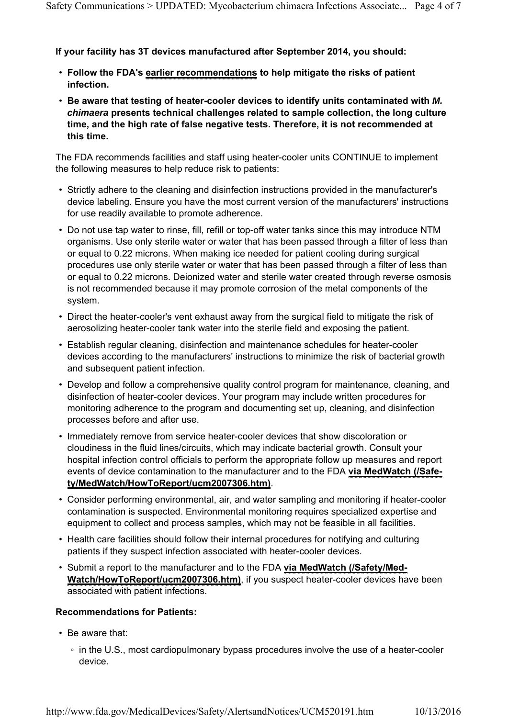# **If your facility has 3T devices manufactured after September 2014, you should:**

- **Follow the FDA's earlier recommendations to help mitigate the risks of patient infection.**
- **Be aware that testing of heater-cooler devices to identify units contaminated with** *M. chimaera* **presents technical challenges related to sample collection, the long culture time, and the high rate of false negative tests. Therefore, it is not recommended at this time.**

The FDA recommends facilities and staff using heater-cooler units CONTINUE to implement the following measures to help reduce risk to patients:

- Strictly adhere to the cleaning and disinfection instructions provided in the manufacturer's device labeling. Ensure you have the most current version of the manufacturers' instructions for use readily available to promote adherence.
- Do not use tap water to rinse, fill, refill or top-off water tanks since this may introduce NTM organisms. Use only sterile water or water that has been passed through a filter of less than or equal to 0.22 microns. When making ice needed for patient cooling during surgical procedures use only sterile water or water that has been passed through a filter of less than or equal to 0.22 microns. Deionized water and sterile water created through reverse osmosis is not recommended because it may promote corrosion of the metal components of the system.
- Direct the heater-cooler's vent exhaust away from the surgical field to mitigate the risk of aerosolizing heater-cooler tank water into the sterile field and exposing the patient.
- Establish regular cleaning, disinfection and maintenance schedules for heater-cooler devices according to the manufacturers' instructions to minimize the risk of bacterial growth and subsequent patient infection.
- Develop and follow a comprehensive quality control program for maintenance, cleaning, and disinfection of heater-cooler devices. Your program may include written procedures for monitoring adherence to the program and documenting set up, cleaning, and disinfection processes before and after use.
- Immediately remove from service heater-cooler devices that show discoloration or cloudiness in the fluid lines/circuits, which may indicate bacterial growth. Consult your hospital infection control officials to perform the appropriate follow up measures and report events of device contamination to the manufacturer and to the FDA **via MedWatch (/Safety/MedWatch/HowToReport/ucm2007306.htm)**.
- Consider performing environmental, air, and water sampling and monitoring if heater-cooler contamination is suspected. Environmental monitoring requires specialized expertise and equipment to collect and process samples, which may not be feasible in all facilities.
- Health care facilities should follow their internal procedures for notifying and culturing patients if they suspect infection associated with heater-cooler devices.
- Submit a report to the manufacturer and to the FDA **via MedWatch (/Safety/Med-Watch/HowToReport/ucm2007306.htm)**, if you suspect heater-cooler devices have been associated with patient infections.

#### **Recommendations for Patients:**

- Be aware that:
	- in the U.S., most cardiopulmonary bypass procedures involve the use of a heater-cooler device.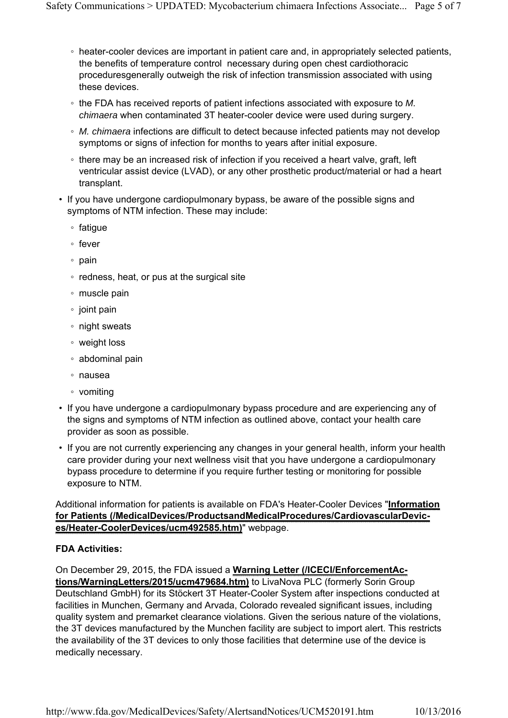- heater-cooler devices are important in patient care and, in appropriately selected patients, the benefits of temperature control necessary during open chest cardiothoracic proceduresgenerally outweigh the risk of infection transmission associated with using these devices.
- the FDA has received reports of patient infections associated with exposure to *M. chimaera* when contaminated 3T heater-cooler device were used during surgery.
- *M. chimaera* infections are difficult to detect because infected patients may not develop symptoms or signs of infection for months to years after initial exposure.
- there may be an increased risk of infection if you received a heart valve, graft, left ventricular assist device (LVAD), or any other prosthetic product/material or had a heart transplant.
- If you have undergone cardiopulmonary bypass, be aware of the possible signs and symptoms of NTM infection. These may include:
	- fatigue
	- fever
	- pain
	- redness, heat, or pus at the surgical site
	- muscle pain
	- joint pain
	- night sweats
	- weight loss
	- abdominal pain
	- nausea
	- vomiting
- If you have undergone a cardiopulmonary bypass procedure and are experiencing any of the signs and symptoms of NTM infection as outlined above, contact your health care provider as soon as possible.
- If you are not currently experiencing any changes in your general health, inform your health care provider during your next wellness visit that you have undergone a cardiopulmonary bypass procedure to determine if you require further testing or monitoring for possible exposure to NTM.

Additional information for patients is available on FDA's Heater-Cooler Devices "**Information for Patients (/MedicalDevices/ProductsandMedicalProcedures/CardiovascularDevices/Heater-CoolerDevices/ucm492585.htm)**" webpage.

# **FDA Activities:**

On December 29, 2015, the FDA issued a **Warning Letter (/ICECI/EnforcementAc-**

**tions/WarningLetters/2015/ucm479684.htm)** to LivaNova PLC (formerly Sorin Group Deutschland GmbH) for its Stöckert 3T Heater-Cooler System after inspections conducted at facilities in Munchen, Germany and Arvada, Colorado revealed significant issues, including quality system and premarket clearance violations. Given the serious nature of the violations, the 3T devices manufactured by the Munchen facility are subject to import alert. This restricts the availability of the 3T devices to only those facilities that determine use of the device is medically necessary.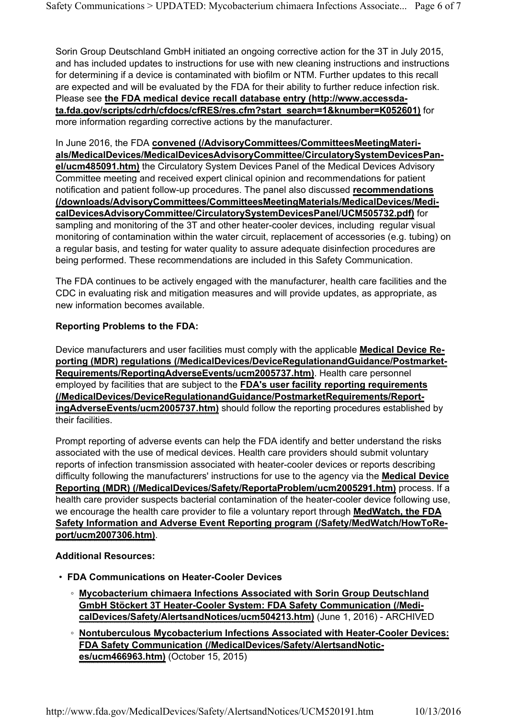Sorin Group Deutschland GmbH initiated an ongoing corrective action for the 3T in July 2015, and has included updates to instructions for use with new cleaning instructions and instructions for determining if a device is contaminated with biofilm or NTM. Further updates to this recall are expected and will be evaluated by the FDA for their ability to further reduce infection risk. Please see **the FDA medical device recall database entry (http://www.accessdata.fda.gov/scripts/cdrh/cfdocs/cfRES/res.cfm?start\_search=1&knumber=K052601)** for more information regarding corrective actions by the manufacturer.

In June 2016, the FDA **convened (/AdvisoryCommittees/CommitteesMeetingMaterials/MedicalDevices/MedicalDevicesAdvisoryCommittee/CirculatorySystemDevicesPanel/ucm485091.htm)** the Circulatory System Devices Panel of the Medical Devices Advisory Committee meeting and received expert clinical opinion and recommendations for patient notification and patient follow-up procedures. The panel also discussed **recommendations (/downloads/AdvisoryCommittees/CommitteesMeetingMaterials/MedicalDevices/MedicalDevicesAdvisoryCommittee/CirculatorySystemDevicesPanel/UCM505732.pdf)** for sampling and monitoring of the 3T and other heater-cooler devices, including regular visual monitoring of contamination within the water circuit, replacement of accessories (e.g. tubing) on a regular basis, and testing for water quality to assure adequate disinfection procedures are being performed. These recommendations are included in this Safety Communication.

The FDA continues to be actively engaged with the manufacturer, health care facilities and the CDC in evaluating risk and mitigation measures and will provide updates, as appropriate, as new information becomes available.

## **Reporting Problems to the FDA:**

Device manufacturers and user facilities must comply with the applicable **Medical Device Reporting (MDR) regulations (/MedicalDevices/DeviceRegulationandGuidance/Postmarket-Requirements/ReportingAdverseEvents/ucm2005737.htm)**. Health care personnel employed by facilities that are subject to the **FDA's user facility reporting requirements (/MedicalDevices/DeviceRegulationandGuidance/PostmarketRequirements/ReportingAdverseEvents/ucm2005737.htm)** should follow the reporting procedures established by their facilities.

Prompt reporting of adverse events can help the FDA identify and better understand the risks associated with the use of medical devices. Health care providers should submit voluntary reports of infection transmission associated with heater-cooler devices or reports describing difficulty following the manufacturers' instructions for use to the agency via the **Medical Device Reporting (MDR) (/MedicalDevices/Safety/ReportaProblem/ucm2005291.htm)** process. If a health care provider suspects bacterial contamination of the heater-cooler device following use, we encourage the health care provider to file a voluntary report through **MedWatch, the FDA Safety Information and Adverse Event Reporting program (/Safety/MedWatch/HowToReport/ucm2007306.htm)**.

#### **Additional Resources:**

- **FDA Communications on Heater-Cooler Devices**
	- **Mycobacterium chimaera Infections Associated with Sorin Group Deutschland GmbH Stӧckert 3T Heater-Cooler System: FDA Safety Communication (/MedicalDevices/Safety/AlertsandNotices/ucm504213.htm)** (June 1, 2016) - ARCHIVED
	- **Nontuberculous Mycobacterium Infections Associated with Heater-Cooler Devices: FDA Safety Communication (/MedicalDevices/Safety/AlertsandNotices/ucm466963.htm)** (October 15, 2015)